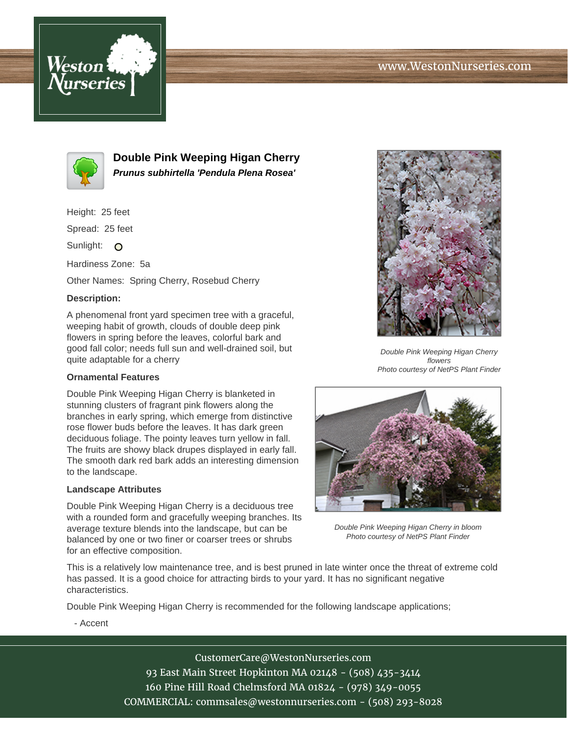



**Double Pink Weeping Higan Cherry Prunus subhirtella 'Pendula Plena Rosea'**

Height: 25 feet

Spread: 25 feet

Sunlight: O

Hardiness Zone: 5a

Other Names: Spring Cherry, Rosebud Cherry

## **Description:**

A phenomenal front yard specimen tree with a graceful, weeping habit of growth, clouds of double deep pink flowers in spring before the leaves, colorful bark and good fall color; needs full sun and well-drained soil, but quite adaptable for a cherry

## **Ornamental Features**

Double Pink Weeping Higan Cherry is blanketed in stunning clusters of fragrant pink flowers along the branches in early spring, which emerge from distinctive rose flower buds before the leaves. It has dark green deciduous foliage. The pointy leaves turn yellow in fall. The fruits are showy black drupes displayed in early fall. The smooth dark red bark adds an interesting dimension to the landscape.

## **Landscape Attributes**

Double Pink Weeping Higan Cherry is a deciduous tree with a rounded form and gracefully weeping branches. Its average texture blends into the landscape, but can be balanced by one or two finer or coarser trees or shrubs for an effective composition.



Double Pink Weeping Higan Cherry flowers Photo courtesy of NetPS Plant Finder



Double Pink Weeping Higan Cherry in bloom Photo courtesy of NetPS Plant Finder

This is a relatively low maintenance tree, and is best pruned in late winter once the threat of extreme cold has passed. It is a good choice for attracting birds to your yard. It has no significant negative characteristics.

Double Pink Weeping Higan Cherry is recommended for the following landscape applications;

- Accent

CustomerCare@WestonNurseries.com 93 East Main Street Hopkinton MA 02148 - (508) 435-3414 160 Pine Hill Road Chelmsford MA 01824 - (978) 349-0055 COMMERCIAL: commsales@westonnurseries.com - (508) 293-8028